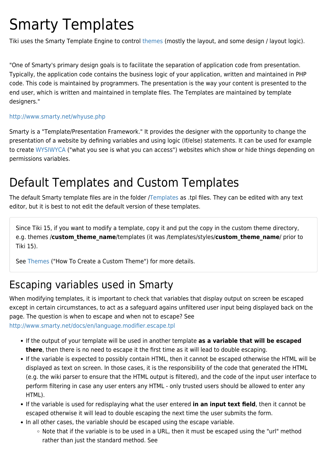# Smarty Templates

Tiki uses the Smarty Template Engine to control [themes](https://doc.tiki.org/Themes) (mostly the layout, and some design / layout logic).

"One of Smarty's primary design goals is to facilitate the separation of application code from presentation. Typically, the application code contains the business logic of your application, written and maintained in PHP code. This code is maintained by programmers. The presentation is the way your content is presented to the end user, which is written and maintained in template files. The Templates are maintained by template designers."

#### <http://www.smarty.net/whyuse.php>

Smarty is a "Template/Presentation Framework." It provides the designer with the opportunity to change the presentation of a website by defining variables and using logic (If/else) statements. It can be used for example to create [WYSIWYCA](https://doc.tiki.org/WYSIWYCA) ("what you see is what you can access") websites which show or hide things depending on permissions variables.

# Default Templates and Custom Templates

The default Smarty template files are in the folder */Templates* as .tpl files. They can be edited with any text editor, but it is best to not edit the default version of these templates.

Since Tiki 15, if you want to modify a template, copy it and put the copy in the custom theme directory, e.g. themes /**custom\_theme\_name**/templates (it was /templates/styles/**custom\_theme\_name**/ prior to Tiki 15).

See [Themes](https://doc.tiki.org/Themes) ("How To Create a Custom Theme") for more details.

### Escaping variables used in Smarty

When modifying templates, it is important to check that variables that display output on screen be escaped except in certain circumstances, to act as a safeguard agains unfiltered user input being displayed back on the page. The question is when to escape and when not to escape? See <http://www.smarty.net/docs/en/language.modifier.escape.tpl>

- If the output of your template will be used in another template **as a variable that will be escaped there**, then there is no need to escape it the first time as it will lead to double escaping.
- If the variable is expected to possibly contain HTML, then it cannot be escaped otherwise the HTML will be displayed as text on screen. In those cases, it is the responsibility of the code that generated the HTML (e.g. the wiki parser to ensure that the HTML output is filtered), and the code of the input user interface to perform filtering in case any user enters any HTML - only trusted users should be allowed to enter any HTML).
- If the variable is used for redisplaying what the user entered **in an input text field**, then it cannot be escaped otherwise it will lead to double escaping the next time the user submits the form.
- In all other cases, the variable should be escaped using the escape variable.
	- o Note that if the variable is to be used in a URL, then it must be escaped using the "url" method rather than just the standard method. See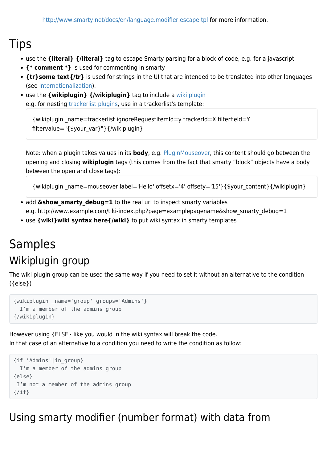#### Tips

- use the **{literal} {/literal}** tag to escape Smarty parsing for a block of code, e.g. for a javascript
- **{\* comment \*}** is used for commenting in smarty
- **{tr}some text{/tr}** is used for strings in the UI that are intended to be translated into other languages (see [Internationalization\)](https://doc.tiki.org/Internationalization).
- use the **{wikiplugin} {/wikiplugin}** tag to include a [wiki plugin](https://doc.tiki.org/Wiki-Plugins)

```
e.g. for nesting trackerlist plugins, use in a trackerlist's template:
```

```
{wikiplugin _name=trackerlist ignoreRequestItemId=y trackerId=X filterfield=Y
filtervalue="{$your_var}"}{/wikiplugin}
```
Note: when a plugin takes values in its **body**, e.g. [PluginMouseover](https://doc.tiki.org/PluginMouseover), this content should go between the opening and closing **wikiplugin** tags (this comes from the fact that smarty "block" objects have a body between the open and close tags):

{wikiplugin \_name=mouseover label='Hello' offsetx='4' offsety='15'}{\$your\_content}{/wikiplugin}

- add **&show smarty debug=1** to the real url to inspect smarty variables e.g. http://www.example.com/tiki-index.php?page=examplepagename&show\_smarty\_debug=1
- use **{wiki}wiki syntax here{/wiki}** to put wiki syntax in smarty templates

## Samples Wikiplugin group

The wiki plugin group can be used the same way if you need to set it without an alternative to the condition ({else})

```
{wikiplugin _name='group' groups='Admins'}
 I'm a member of the admins group
{/wikiplugin}
```
However using {ELSE} like you would in the wiki syntax will break the code. In that case of an alternative to a condition you need to write the condition as follow:

```
{if 'Admins'|in_group}
  I'm a member of the admins group
{else}
I'm not a member of the admins group
\{/if\}
```
Using smarty modifier (number format) with data from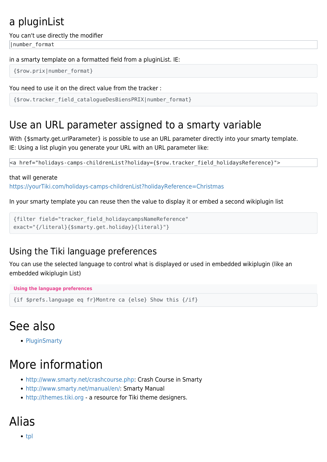### a pluginList

You can't use directly the modifier

|number\_format

in a smarty template on a formatted field from a pluginList. IE:

```
{$row.prix|number_format}
```
You need to use it on the direct value from the tracker :

```
{$row.tracker_field_catalogueDesBiensPRIX|number_format}
```
### Use an URL parameter assigned to a smarty variable

With {\$smarty.get.urlParameter} is possible to use an URL parameter directly into your smarty template. IE: Using a list plugin you generate your URL with an URL parameter like:

<a href="holidays-camps-childrenList?holiday={\$row.tracker\_field\_holidaysReference}">

#### that will generate

<https://yourTiki.com/holidays-camps-childrenList?holidayReference=Christmas>

In your smarty template you can reuse then the value to display it or embed a second wikiplugin list

```
{filter field="tracker_field_holidaycampsNameReference"
exact="{/literal}{$smarty.get.holiday}{literal}"}
```
#### Using the Tiki language preferences

You can use the selected language to control what is displayed or used in embedded wikiplugin (like an embedded wikiplugin List)

```
Using the language preferences
```

```
{if $prefs.language eq fr}Montre ca {else} Show this {/if}
```
# See also

• [PluginSmarty](https://doc.tiki.org/PluginSmarty)

# More information

- <http://www.smarty.net/crashcourse.php>: Crash Course in Smarty
- <http://www.smarty.net/manual/en/>: Smarty Manual
- <http://themes.tiki.org> a resource for Tiki theme designers.

# Alias

 $\bullet$  [tpl](https://doc.tiki.org/tpl)